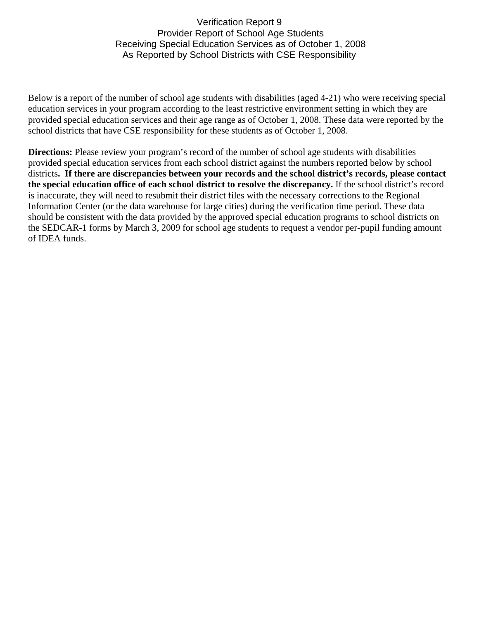## Verification Report 9 Provider Report of School Age Students Receiving Special Education Services as of October 1, 2008 As Reported by School Districts with CSE Responsibility

Below is a report of the number of school age students with disabilities (aged 4-21) who were receiving special education services in your program according to the least restrictive environment setting in which they are provided special education services and their age range as of October 1, 2008. These data were reported by the school districts that have CSE responsibility for these students as of October 1, 2008.

**Directions:** Please review your program's record of the number of school age students with disabilities provided special education services from each school district against the numbers reported below by school districts**. If there are discrepancies between your records and the school district's records, please contact the special education office of each school district to resolve the discrepancy.** If the school district's record is inaccurate, they will need to resubmit their district files with the necessary corrections to the Regional Information Center (or the data warehouse for large cities) during the verification time period. These data should be consistent with the data provided by the approved special education programs to school districts on the SEDCAR-1 forms by March 3, 2009 for school age students to request a vendor per-pupil funding amount of IDEA funds.